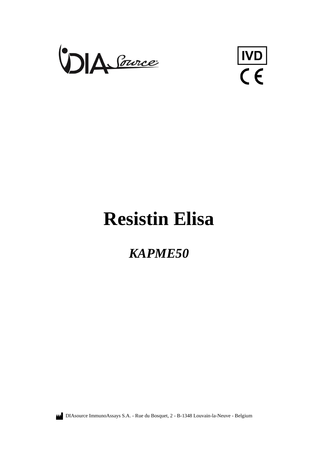

 $\frac{|ND|}{\zeta \epsilon}$ 

# **Resistin Elisa**

# *KAPME50*

DIAsource ImmunoAssays S.A. - Rue du Bosquet, 2 - B-1348 Louvain-la-Neuve - Belgium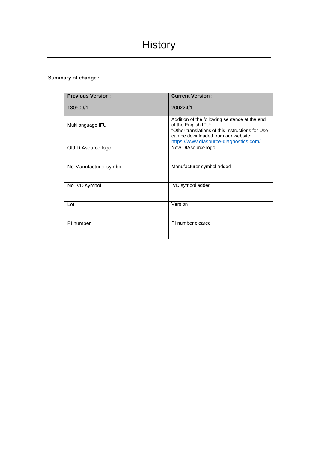# **Summary of change :**

| <b>Previous Version:</b> | <b>Current Version:</b>                                                                                                                                                                                    |
|--------------------------|------------------------------------------------------------------------------------------------------------------------------------------------------------------------------------------------------------|
| 130506/1                 | 200224/1                                                                                                                                                                                                   |
| Multilanguage IFU        | Addition of the following sentence at the end<br>of the English IFU:<br>"Other translations of this Instructions for Use<br>can be downloaded from our website:<br>https://www.diasource-diagnostics.com/" |
| Old DIAsource logo       | New DIAsource logo                                                                                                                                                                                         |
| No Manufacturer symbol   | Manufacturer symbol added                                                                                                                                                                                  |
| No IVD symbol            | IVD symbol added                                                                                                                                                                                           |
| Lot                      | Version                                                                                                                                                                                                    |
| PI number                | PI number cleared                                                                                                                                                                                          |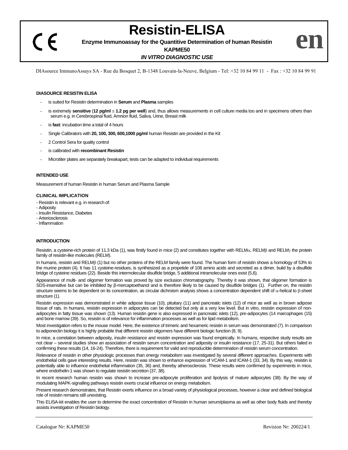$\epsilon$ 

**Resistin-ELISA**

**Enzyme Immunoassay for the Quantitive Determination of human Resistin**

**KAPME50**

# *IN VITRO DIAGNOSTIC USE*

DIAsource ImmunoAssays SA - Rue du Bosquet 2, B-1348 Louvain-la-Neuve, Belgium - Tel: +32 10 84 99 11 - Fax : +32 10 84 99 91

# **DIASOURCE RESISTIN ELISA**

- is suited for Resistin determination in **Serum** and **Plasma** samples
- is extremely sensitive (12 pg/ml = 1.2 pg per well) and, thus allows measurements in cell culture media too and in specimens others than serum e.g. in Cerebrospinal fluid, Amnion fluid, Saliva, Urine, Breast milk
- is **fast**: incubation time a total of 4 hours
- Single Calibrators with **20, 100, 300, 600,1000 pg/ml** human Resistin are provided in the Kit
- 2 Control Sera for quality control
- is calibrated with **recombinant Resistin**
- Microtiter plates are separately breakapart, tests can be adapted to individual requirements

# **INTENDED USE**

Measurement of human Resistin in human Serum and Plasma Sample

# **CLINICAL IMPLICATION**

- Resistin is relevant e.g. in research of:
- Adiposity
- Insulin Resistance, Diabetes
- Arteriosclerosis
- Inflammation

# **INTRODUCTION**

Resistin, a cysteine-rich protein of 11.3 kDa (1), was firstly found in mice (2) and constitutes together with RELM $\alpha$ , RELM $\beta$  and RELM<sub>Y</sub> the protein family of resistin-like molecules (RELM).

In humans, resistin and RELMB (1) but no other proteins of the RELM family were found. The human form of resistin shows a homology of 53% to the murine protein (4). It has 11 cysteine-residues, is synthesized as a propetide of 108 amino acids and secreted as a dimer, build by a disulfide bridge of cysteine residues (22). Beside this intermolecular disulfide bridge, 5 additional intramolecular ones exist (5,6).

Appearance of multi- and oligomer formation was proved by size exclusion chromatography. Thereby it was shown, that oligomer formation is SDS-insensitive but can be inhibited by β-mercaptoethanol and is therefore likely to be caused by disulfide bridges (1). Further on, the resistin structure seems to be dependent on its concentration, as circular dichroism analysis shows a concentration dependent shift of  $\alpha$ -helical to  $\beta$ -sheet structure (1).

Resistin expression was demonstrated in white adipose tissue (10), pituitary (11) and pancreatic islets (12) of mice as well as in brown adipose tissue of rats. In humans, resistin expression in adipocytes can be detected but only at a very low level. But in vitro, resistin expression of nonadipocytes in fatty tissue was shown (13). Human resistin gene is also expressed in pancreatic islets (12), pre-adipocytes (14 marcophages (15) and bone marrow (39). So, resistin is of relevance for inflammation processes as well as for lipid metabolism.

Most investigation refers to the mouse model. Here, the existence of trimeric and hexameric resistin in serum was demonstrated (7). In comparison to adiponectin biology it is highly probable that different resistin oligomers have different biologic function (8, 9).

In mice, a correlation between adiposity, insulin resistance and resistin expression was found empirically. In humans, respective study results are not clear – several studies show an association of resistin serum concentration and adiposity or insulin resistance (17, 25-31). But others failed in confirming these results (14, 16-24). Therefore, there is requirement for valid and reproducible determination of resistin serum concentration.

Relevance of resistin in other physiologic processes than energy metabolism was investigated by several different approaches. Experiments with endothelial cells gave interesting results. Here, resistin was shown to enhance expression of VCAM-1 and ICAM-1 (33, 34). By this way, resistin is potentially able to influence endothelial inflammation (35, 36) and, thereby atherosclerosis. These results were confirmed by experiments in mice, where endothelin-1 was shown to regulate resistin secretion (37, 38).

In recent research human resistin was shown to increase pre-adipocyte proliferation and lipolysis of mature adipocytes (38). By the way of modulating MAPK-signalling pathways resistin exerts crucial influence on energy metabolism.

Present research demonstrates, that Resistin exerts influence on a broad variety of physiological processes, however a clear and defined biological role of resistin remains still unexisting.

This ELISA-kit enables the user to determine the exact concentration of Resistin in human serum/plasma as well as other body fluids and thereby assists investigation of Resistin biology.

**en**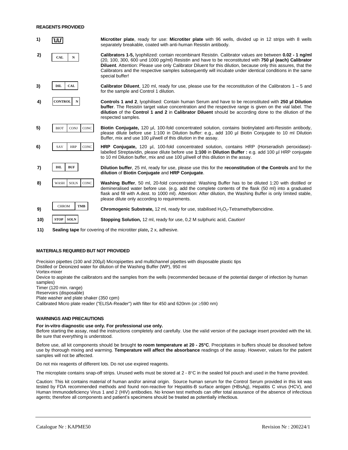# **REAGENTS PROVIDED**



**11) Sealing tape** for covering of the microtiter plate**,** 2 x, adhesive.

# **MATERIALS REQUIRED BUT NOT PROVIDED**

Precision pipettes (100 and 200µl) Micropipettes and multichannel pipettes with disposable plastic tips Distilled or Deionized water for dilution of the Washing Buffer (WP), 950 ml

Vortex-mixer

Device to aspirate the calibrators and the samples from the wells (recommended because of the potential danger of infection by human samples)

Timer (120 min. range)

Reservoirs (disposable)

Plate washer and plate shaker (350 cpm) Calibrated Micro plate reader ("ELISA-Reader") with filter for 450 and 620nm (or  $\geq$ 590 nm)

# **WARNINGS AND PRECAUTIONS**

#### **For in-vitro diagnostic use only. For professional use only.**

Before starting the assay, read the instructions completely and carefully. Use the valid version of the package insert provided with the kit. Be sure that everything is understood.

Before use, all kit components should be brought **to room temperature at 20 - 25°C**. Precipitates in buffers should be dissolved before use by thorough mixing and warming. **Temperature will affect the absorbance** readings of the assay. However, values for the patient samples will not be affected.

Do not mix reagents of different lots. Do not use expired reagents.

The microplate contains snap-off strips. Unused wells must be stored at  $2 - 8^{\circ}C$  in the sealed foil pouch and used in the frame provided.

Caution: This kit contains material of human and/or animal origin. Source human serum for the Control Serum provided in this kit was tested by FDA recommended methods and found non-reactive for Hepatitis-B surface antigen (HBsAg), Hepatitis C virus (HCV), and Human Immunodeficiency Virus 1 and 2 (HIV) antibodies. No known test methods can offer total assurance of the absence of infectious agents; therefore all components and patient's specimens should be treated as potentially infectious.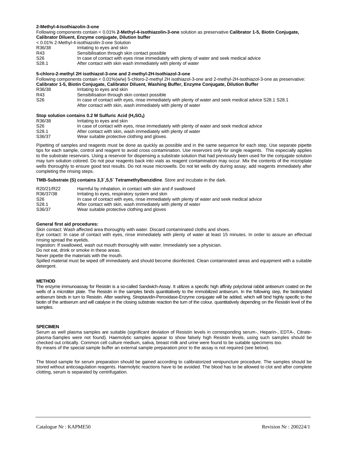# **2-Methyl-4-Isothiazolin-3-one**

Following components contain < 0.01% **2-Methyl-4-isothiazolin-3-one** solution as preservative **Calibrator 1-5, Biotin Conjugate, Calibrator Diluent, Enzyme conjugate, Dilution buffer**

|                 | < 0.01% 2-Methyl-4-isothiazolin-3-one Solution                                              |
|-----------------|---------------------------------------------------------------------------------------------|
| R36/38          | Irritating to eyes and skin                                                                 |
| R43             | Sensibilisation through skin contact possible                                               |
| S <sub>26</sub> | In case of contact with eyes rinse immediately with plenty of water and seek medical advice |
| S28.1           | After contact with skin wash immediately with plenty of water                               |

# **5-chloro-2-methyl 2H isothiazol-3-one and 2-methyl-2H-Isothiazol-3-one**

Following components contain < 0.01%(w/w) 5-chloro-2-methyl 2H isothiazol-3-one and 2-methyl-2H-isothiazol-3-one as preservative: **Calibrator 1-5, Biotin Conjugate, Calibrator Diluent, Washing Buffer, Enzyme Conjugate, Dilution Buffer**

R36/38 Irritating to eyes and skin<br>R43 Sensibilisation through sk

R43 Sensibilisation through skin contact possible<br>S26 In case of contact with eyes, rinse immediate In case of contact with eyes, rinse immediately with plenty of water and seek medical advice S28.1 S28.1 After contact with skin, wash immediately with plenty of water

# **Stop solution contains 0.2 M Sulfuric Acid (H2SO4)**

|                   | 3100 SUIDIUUII CUITAINS 0.2 M SUITUITU AUU (172304)                                          |  |  |  |
|-------------------|----------------------------------------------------------------------------------------------|--|--|--|
| R36/38            | Irritating to eyes and skin                                                                  |  |  |  |
| S <sub>26</sub>   | In case of contact with eyes, rinse immediately with plenty of water and seek medical advice |  |  |  |
| S <sub>28.1</sub> | After contact with skin, wash immediately with plenty of water                               |  |  |  |
| S36/37            | Wear suitable protective clothing and gloves.                                                |  |  |  |

Pipetting of samples and reagents must be done as quickly as possible and in the same sequence for each step. Use separate pipette tips for each sample, control and reagent to avoid cross contamination. Use reservoirs only for single reagents. This especially applies to the substrate reservoirs. Using a reservoir for dispensing a substrate solution that had previously been used for the conjugate solution may turn solution colored. Do not pour reagents back into vials as reagent contamination may occur. Mix the contents of the microplate wells thoroughly to ensure good test results. Do not reuse microwells. Do not let wells dry during assay; add reagents immediately after completing the rinsing steps.

# **TMB-Substrate (S) contains 3,3´,5,5´ Tetramethylbenzidine**. Store and incubate in the dark.

| R20/21/R22        | Harmful by inhalation, in contact with skin and if swallowed                                 |
|-------------------|----------------------------------------------------------------------------------------------|
| R36/37/38         | Irritating to eyes, respiratory system and skin                                              |
| S26               | In case of contact with eyes, rinse immediately with plenty of water and seek medical advice |
| S <sub>28.1</sub> | After contact with skin, wash immediately with plenty of water                               |
| S36/37            | Wear suitable protective clothing and gloves                                                 |

# **General first aid procedures:**

Skin contact: Wash affected area thoroughly with water. Discard contaminated cloths and shoes.

Eye contact: In case of contact with eyes, rinse immediately with plenty of water at least 15 minutes. In order to assure an effectual rinsing spread the eyelids.

Ingestion: If swallowed, wash out mouth thoroughly with water. Immediately see a physician.

Do not eat, drink or smoke in these areas.

Never pipette the materials with the mouth.

Spilled material must be wiped off immediately and should become disinfected. Clean contaminated areas and equipment with a suitable detergent.

# **METHOD**

The enzyme immunoassay for Resistin is a so-called Sandwich-Assay. It utilizes a specific high affinity polyclonal rabbit antiserum coated on the wells of a microtiter plate. The Resistin in the samples binds quantitatively to the immobilized antiserum. In the following step, the biotinylated antiserum binds in turn to Resistin. After washing, Streptavidin-Peroxidase-Enzyme conjugate will be added, which will bind highly specific to the biotin of the antiserum and will catalyse in the closing substrate reaction the turn of the colour, quantitatively depending on the Resistin level of the samples.

# **SPECIMEN**

Serum as well plasma samples are suitable (significant deviation of Resistin levels in corresponding serum-, Heparin-, EDTA-, Citrateplasma-Samples were not found). Haemolytic samples appear to show falsely high Resistin levels, using such samples should be checked out critically. Common cell culture medium, saliva, breast milk and urine were found to be suitable specimens too. By means of the special sample buffer an external sample preparation prior to the assay is not required (see below).

The blood sample for serum preparation should be gained according to calibratorized venipuncture procedure. The samples should be stored without anticoagulation reagents. Haemolytic reactions have to be avoided. The blood has to be allowed to clot and after complete clotting, serum is separated by centrifugation.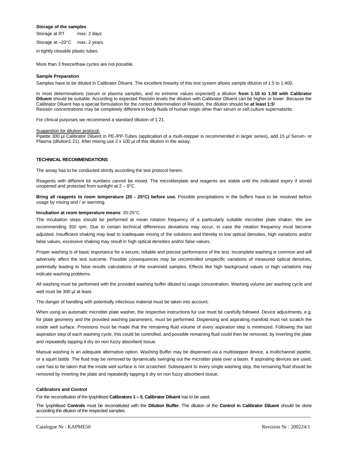#### **Storage of the samples**

Storage at RT max. 2 days

Storage at –20°C max. 2 years

in tightly closable plastic tubes.

More than 3 freeze/thaw cycles are not possible.

#### **Sample Preparation**

Samples have to be diluted in Calibrator Diluent. The excellent linearity of this test system allows sample dilution of 1:5 to 1:400.

In most determinations (serum or plasma samples, and no extreme values expected) a dilution **from 1:10 to 1:50 with Calibrator Diluent** should be suitable. According to expected Resistin levels the dilution with Calibrator Diluent can be higher or lower. Because the Calibrator Diluent has a special formulation for the correct determination of Resistin, the dilution should be **at least 1:5**! Resistin concentrations may be completely different in body fluids of human origin other than serum or cell culture supernatants.

For clinical purposes we recommend a standard dilution of 1:21.

#### Suggestion for dilution protocol:

Pipette 300 µl Calibrator Diluent in PE-/PP-Tubes (application of a multi-stepper is recommended in larger series), add 15 µl Serum- or Plasma (dilution1:21). After mixing use 2 x 100 µl of this dilution in the assay.

# **TECHNICAL RECOMMENDATIONS**

The assay has to be conducted strictly according the test protocol herein.

Reagents with different lot numbers cannot be mixed. The microtiterplate and reagents are stable until the indicated expiry if stored unopened and protected from sunlight at  $2 - 8$ °C.

**Bring all reagents to room temperature (20 - 25C) before use.** Possible precipitations in the buffers have to be resolved before usage by mixing and / or warming.

#### **Incubation at room temperature means**: 20-25°C

The incubation steps should be performed at mean rotation frequency of a particularly suitable microtiter plate shaker. We are recommending 350 rpm. Due to certain technical differences deviations may occur, in case the rotation frequency must become adjusted. Insufficient shaking may lead to inadequate mixing of the solutions and thereby to low optical densities, high variations and/or false values, excessive shaking may result in high optical densities and/or false values.

Proper washing is of basic importance for a secure, reliable and precise performance of the test. Incomplete washing is common and will adversely affect the test outcome. Possible consequences may be uncontrolled unspecific variations of measured optical densities, potentially leading to false results calculations of the examined samples. Effects like high background values or high variations may indicate washing problems.

All washing must be performed with the provided washing buffer diluted to usage concentration. Washing volume per washing cycle and well must be 300 µl at least.

The danger of handling with potentially infectious material must be taken into account.

When using an automatic microtiter plate washer, the respective instructions fur use must be carefully followed. Device adjustments, e.g. for plate geometry and the provided washing parameters, must be performed. Dispensing and aspirating manifold must not scratch the inside well surface. Provisions must be made that the remaining fluid volume of every aspiration step is minimized. Following the last aspiration step of each washing cycle, this could be controlled, and possible remaining fluid could then be removed, by inverting the plate and repeatedly tapping it dry on non fuzzy absorbent tissue.

Manual washing is an adequate alternative option. Washing Buffer may be dispensed via a multistepper device, a multichannel pipette, or a squirt bottle. The fluid may be removed by dynamically swinging out the microtiter plate over a basin. If aspirating devices are used, care has to be taken that the inside well surface is not scratched. Subsequent to every single washing step, the remaining fluid should be removed by inverting the plate and repeatedly tapping it dry on non fuzzy absorbent tissue.

#### **Calibrators and Control**

For the reconstitution of the lyophilised **Calibrators 1 – 5**, **Calibrator Diluent** has to be used.

The lyophilised **Controls** must be reconstituted with the **Dilution Buffer**. The dilution of the **Control in Calibrator Diluent** should be done according the dilution of the respected samples.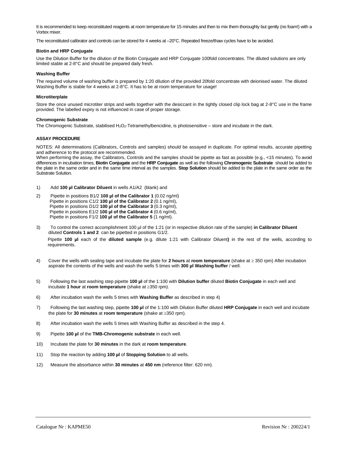It is recommended to keep reconstituted reagents at room temperature for 15 minutes and then to mix them thoroughly but gently (no foam!) with a Vortex mixer.

The reconstituted calibrator and controls can be stored for 4 weeks at –20°C. Repeated freeze/thaw cycles have to be avoided.

# **Biotin and HRP Conjugate**

Use the Dilution Buffer for the dilution of the Biotin Conjugate and HRP Conjugate 100fold concentrates. The diluted solutions are only limited stable at 2-8°C and should be prepared daily fresh.

# **Washing Buffer**

The required volume of washing buffer is prepared by 1:20 dilution of the provided 20fold concentrate with deionised water. The diluted Washing Buffer is stable for 4 weeks at 2-8°C. It has to be at room temperature for usage!

# **Microtiterplate**

Store the once unused microtiter strips and wells together with the desiccant in the tightly closed clip lock bag at 2-8°C use in the frame provided. The labelled expiry is not influenced in case of proper storage.

# **Chromogenic Substrate**

The Chromogenic Substrate, stabilised  $H_2O_2$ -Tetramethylbencidine, is photosensitive – store and incubate in the dark.

# **ASSAY PROCEDURE**

NOTES: All determinations (Calibrators, Controls and samples) should be assayed in duplicate. For optimal results, accurate pipetting and adherence to the protocol are recommended.

When performing the assay, the Calibrators, Controls and the samples should be pipette as fast as possible (e.g., <15 minutes). To avoid differences in incubation times, **Biotin Conjugate** and the **HRP Conjugate** as well as the following **Chromogenic Substrate** should be added to the plate in the same order and in the same time interval as the samples. **Stop Solution** should be added to the plate in the same order as the Substrate Solution.

- 1) Add **100 µl Calibrator Diluent** in wells A1/A2 (blank) and
- 2) Pipette in positions B1/2 **100 µl of the Calibrator 1** (0.02 ng/ml) Pipette in positions C1/2 **100 µl of the Calibrator 2** (0.1 ng/ml), Pipette in positions D1/2 **100 µl of the Calibrator 3** (0.3 ng/ml), Pipette in positions E1/2 **100 ul of the Calibrator 4** (0.6 ng/ml), Pipette in positions F1/2 **100 µl of the Calibrator 5** (1 ng/ml).
- 3) To control the correct accomplishment 100 µl of the 1:21 (or in respective dilution rate of the sample) **in Calibrator Diluent** diluted **Controls 1 and 2** can be pipetted in positions G1/2.

Pipette **100 µl** each of the **diluted sample** (e.g. dilute 1:21 with Calibrator Diluent**)** in the rest of the wells, according to requirements.

- 4) Cover the wells with sealing tape and incubate the plate for **2 hours** at **room temperature** (shake at 350 rpm) After incubation aspirate the contents of the wells and wash the wells 5 times with **300 µl Washing buffer** / well.
- 5) Following the last washing step pipette **100 µl** of the 1:100 with **Dilution buffer** diluted **Biotin Conjugate** in each well and incubate **1 hour** at **room temperature** (shake at 350 rpm).
- 6) After incubation wash the wells 5 times with **Washing Buffer** as described in step 4)
- 7) Following the last washing step, pipette **100 µl** of the 1:100 with Dilution Buffer diluted **HRP Conjugate** in each well and incubate the plate for **30 minutes** at **room temperature** (shake at 350 rpm).
- 8) After incubation wash the wells 5 times with Washing Buffer as described in the step 4.
- 9) Pipette **100 µl** of the **TMB-Chromogenic substrate** in each well.
- 10) Incubate the plate for **30 minutes** in the dark at **room temperature**.
- 11) Stop the reaction by adding **100 µl** of **Stopping Solution** to all wells.
- 12) Measure the absorbance within **30 minutes** at **450 nm** (reference filter: 620 nm).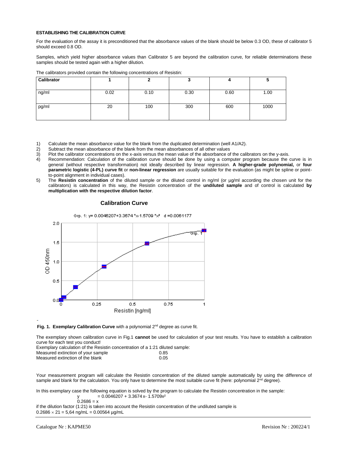# **ESTABLISHING THE CALIBRATION CURVE**

For the evaluation of the assay it is preconditioned that the absorbance values of the blank should be below 0.3 OD, these of calibrator 5 should exceed 0.8 OD.

Samples, which yield higher absorbance values than Calibrator 5 are beyond the calibration curve, for reliable determinations these samples should be tested again with a higher dilution.

| Calibrator |      |      | ν    |      |      |
|------------|------|------|------|------|------|
| ng/ml      | 0.02 | 0.10 | 0.30 | 0.60 | 1.00 |
| pg/ml      | 20   | 100  | 300  | 600  | 1000 |

The calibrators provided contain the following concentrations of Resistin:

- 1) Calculate the mean absorbance value for the blank from the duplicated determination (well A1/A2).<br>2) Subtract the mean absorbance of the blank from the mean absorbances of all other values
- 2) Subtract the mean absorbance of the blank from the mean absorbances of all other values<br>3) Plot the calibrator concentrations on the x-axis versus the mean value of the absorbance of
- 3) Plot the calibrator concentrations on the x-axis versus the mean value of the absorbance of the calibrators on the y-axis.<br>4) Recommendation: Calculation of the calibration curve should be done by using a computer progr
- Recommendation: Calculation of the calibration curve should be done by using a computer program because the curve is in general (without respective transformation) not ideally described by linear regression. **A higher-grade polynomial,** or **four parametric logistic (4-PL) curve fit** or **non-linear regression** are usually suitable for the evaluation (as might be spline or pointto-point alignment in individual cases).
- 5) The **Resistin concentration** of the diluted sample or the diluted control in ng/ml (or µg/ml according the chosen unit for the calibrators) is calculated in this way, the Resistin concentration of the **undiluted sample** and of control is calculated **by multiplication with the respective dilution factor**.



#### **Calibration Curve**



The exemplary shown calibration curve in Fig.1 **cannot** be used for calculation of your test results. You have to establish a calibration curve for each test you conduct!

Exemplary calculation of the Resistin concentration of a 1:21 diluted sample: Measured extinction of your sample Measured extinction of the blank 0.05

Your measurement program will calculate the Resistin concentration of the diluted sample automatically by using the difference of sample and blank for the calculation. You only have to determine the most suitable curve fit (here: polynomial 2<sup>nd</sup> degree).

In this exemplary case the following equation is solved by the program to calculate the Resistin concentration in the sample:  $y = 0.0046207 + 3.3674 x - 1.5709x^2$ 

$$
0.2686 = x
$$

if the dilution factor (1:21) is taken into account the Resistin concentration of the undiluted sample is  $0.2686 \times 21 = 5{,}64$  ng/mL = 0.00564 µg/mL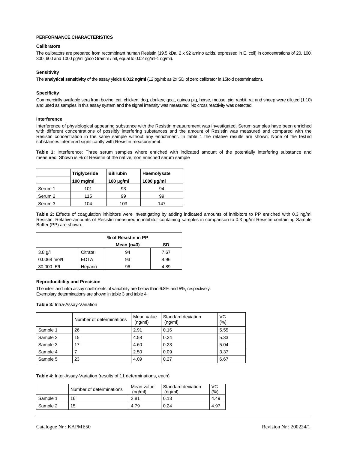# **PERFORMANCE CHARACTERISTICS**

# **Calibrators**

The calibrators are prepared from recombinant human Resistin (19.5 kDa, 2 x 92 amino acids, expressed in E. coli) in concentrations of 20, 100, 300, 600 and 1000 pg/ml (pico Gramm / ml, equal to 0.02 ng/ml-1 ng/ml).

# **Sensitivity**

The **analytical sensitivity** of the assay yields **0.012 ng/ml** (12 pg/ml; as 2x SD of zero calibrator in 15fold determination).

# **Specificity**

Commercially available sera from bovine, cat, chicken, dog, donkey, goat, guinea pig, horse, mouse, pig, rabbit, rat and sheep were diluted (1:10) and used as samples in this assay system and the signal intensity was measured. No cross reactivity was detected.

# **Interference**

Interference of physiological appearing substance with the Resistin measurement was investigated. Serum samples have been enriched with different concentrations of possibly interfering substances and the amount of Resistin was measured and compared with the Resistin concentration in the same sample without any enrichment. In table 1 the relative results are shown. None of the tested substances interfered significantly with Resistin measurement.

**Table 1:** Interference: Three serum samples where enriched with indicated amount of the potentially interfering substance and measured. Shown is % of Resistin of the native, non enriched serum sample

|         | Triglyceride | <b>Bilirubin</b> | Haemolysate     |  |
|---------|--------------|------------------|-----------------|--|
|         | 100 mg/ml    | $100 \mu q/ml$   | $1000 \mu g/ml$ |  |
| Serum 1 | 101          | 93               | 94              |  |
| Serum 2 | 115          | 99               | 99              |  |
| Serum 3 | 104          | 103              | 147             |  |

**Table 2:** Effects of coagulation inhibitors were investigating by adding indicated amounts of inhibitors to PP enriched with 0.3 ng/ml Resistin. Relative amounts of Resistin measured in inhibitor containing samples in comparison to 0.3 ng/ml Resistin containing Sample Buffer (PP) are shown.

|                |             | % of Resistin in PP |      |
|----------------|-------------|---------------------|------|
|                |             | Mean $(n=3)$        | SD   |
| $3.8$ g/l      | Citrate     | 94                  | 7.67 |
| $0.0068$ mol/l | <b>EDTA</b> | 93                  | 4.96 |
| 30,000 IE/I    | Heparin     | 96                  | 4.89 |

# **Reproducibility and Precision**

The inter- and intra assay coefficients of variability are below than 6.8% and 5%, respectively. Exemplary determinations are shown in table 3 and table 4.

**Table 3:** Intra-Assay-Variation

|          | Number of determinations | Mean value<br>(ng/ml) | Standard deviation<br>(nq/ml) | VC<br>(% ) |
|----------|--------------------------|-----------------------|-------------------------------|------------|
| Sample 1 | 26                       | 2.91                  | 0.16                          | 5.55       |
| Sample 2 | 15                       | 4.58                  | 0.24                          | 5.33       |
| Sample 3 | 17                       | 4.60                  | 0.23                          | 5.04       |
| Sample 4 |                          | 2.50                  | 0.09                          | 3.37       |
| Sample 5 | 23                       | 4.09                  | 0.27                          | 6.67       |

**Table 4:** Inter-Assay-Variation (results of 11 determinations, each)

|          | Number of determinations | Mean value<br>(na/ml) | Standard deviation<br>(na/ml) | VC<br>(% ) |
|----------|--------------------------|-----------------------|-------------------------------|------------|
| Sample 1 | 16                       | 2.81                  | 0.13                          | 4.49       |
| Sample 2 | 15                       | 4.79                  | 0.24                          | 4.97       |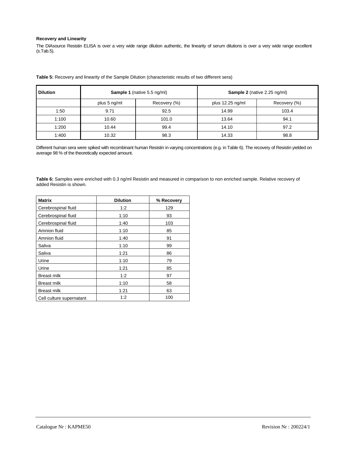# **Recovery and Linearity**

The DIAsource Resistin ELISA is over a very wide range dilution authentic, the linearity of serum dilutions is over a very wide range excellent (s.Tab.5).

| <b>Dilution</b> | <b>Sample 1</b> (native 5.5 ng/ml) |              |                  | <b>Sample 2</b> (native 2.25 ng/ml) |
|-----------------|------------------------------------|--------------|------------------|-------------------------------------|
|                 | plus 5 ng/ml                       | Recovery (%) | plus 12.25 ng/ml | Recovery (%)                        |
| 1:50            | 9.71                               | 92.5         | 14.99            | 103.4                               |
| 1:100           | 10.60                              | 101.0        | 13.64            | 94.1                                |
| 1:200           | 10.44                              | 99.4         | 14.10            | 97.2                                |
| 1:400           | 10.32                              | 98.3         | 14.33            | 98.8                                |

**Table 5:** Recovery and linearity of the Sample Dilution (characteristic results of two different sera)

Different human sera were spiked with recombinant human Resistin in varying concentrations (e.g. in Table 6). The recovery of Resistin yielded on average 98 % of the theoretically expected amount.

**Table 6:** Samples were enriched with 0.3 ng/ml Resistin and measured in comparison to non enriched sample. Relative recovery of added Resistin is shown.

| <b>Matrix</b>            | <b>Dilution</b> | % Recovery |
|--------------------------|-----------------|------------|
| Cerebrospinal fluid      | 1:2             | 129        |
| Cerebrospinal fluid      | 1:10            | 93         |
| Cerebrospinal fluid      | 1:40            | 103        |
| Amnion fluid             | 1:10            | 85         |
| Amnion fluid             | 1:40            | 91         |
| Saliva                   | 1:10            | 99         |
| Saliva                   | 1:21            | 86         |
| Urine                    | 1:10            | 79         |
| Urine                    | 1:21            | 85         |
| <b>Breast milk</b>       | 1:2             | 97         |
| <b>Breast milk</b>       | 1:10            | 58         |
| <b>Breast milk</b>       | 1:21            | 63         |
| Cell culture supernatant | 1:2             | 100        |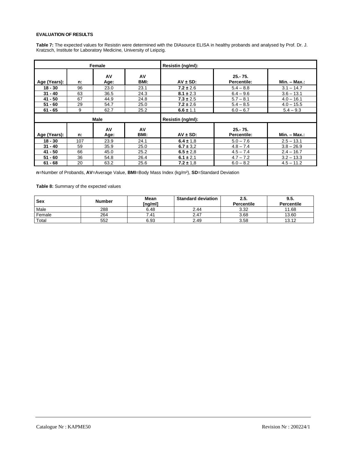# **EVALUATION OF RESULTS**

**Table 7:** The expected values for Resistin were determined with the DIAsource ELISA in healthy probands and analysed by Prof. Dr. J. Kratzsch, Institute for Laboratory Medicine, University of Leipzig.

| Female       |     | Resistin (ng/ml): |            |                   |                                  |                 |
|--------------|-----|-------------------|------------|-------------------|----------------------------------|-----------------|
| Age (Years): | n:  | AV<br>Age:        | AV<br>BMI: | $AV \pm SD$ :     | $25 - 75$ .<br>Percentile:       | $Min. - Max.$   |
| $18 - 30$    | 96  | 23.0              | 23.1       | $7.2 \pm 2.6$     | $5.4 - 8.8$                      | $3.1 - 14.7$    |
| $31 - 40$    | 63  | 36.5              | 24.3       | $8.1 \pm 2.3$     | $6.4 - 9.6$                      | $3.6 - 13.1$    |
| 41 - 50      | 67  | 44.9              | 24.8       | $7.3 \pm 2.5$     | $5.7 - 8.1$                      | $4.0 - 16.1$    |
| $51 - 60$    | 29  | 54.7              | 25.0       | $7.2 \pm 2.6$     | $5.4 - 8.5$                      | $4.0 - 15.5$    |
| $61 - 65$    | 9   | 62.7              | 25.2       | $6.6 \pm 1.1$     | $6.0 - 6.7$                      | $5.4 - 9.3$     |
|              |     | Male              |            | Resistin (ng/ml): |                                  |                 |
| Age (Years): | n:  | AV<br>Age:        | AV<br>BMI: | $AV \pm SD$ :     | $25 - 75.$<br><b>Percentile:</b> | $Min. - Max.$ : |
| $18 - 30$    | 107 | 23.9              | 24.1       | $6.4 \pm 1.8$     | $5.0 - 7.6$                      | $2.5 - 13.1$    |
| $31 - 40$    | 59  | 35.9              | 25.0       | $6.7 \pm 3.2$     | $4.8 - 7.4$                      | $3.8 - 26.9$    |
| $41 - 50$    | 66  | 45.0              | 25.2       | $6.5 \pm 2.8$     | $4.5 - 7.4$                      | $2.4 - 16.7$    |
| $51 - 60$    | 36  | 54.8              | 26.4       | $6.1 \pm 2.1$     | $4.7 - 7.2$                      | $3.2 - 13.3$    |
| $61 - 68$    | 20  | 63.2              | 25.6       | $7.2 \pm 1.8$     | $6.0 - 8.2$                      | $4.5 - 11.2$    |

**n**=Number of Probands, **AV**=Average Value, **BMI**=Body Mass Index (kg/m²), **SD**=Standard Deviation

**Table 8:** Summary of the expected values

| Sex    | <b>Number</b> | Mean<br>(ng/ml] | <b>Standard deviation</b> | 2.5.<br>Percentile | 9.5.<br><b>Percentile</b> |
|--------|---------------|-----------------|---------------------------|--------------------|---------------------------|
| Male   | 288           | 6.48            | 2.44                      | 3.32               | 11.68                     |
| Female | 264           | $.4^{\circ}$    | 2.47                      | 3.68               | 13.60                     |
| Total  | 552           | 6.93            | 2.49                      | 3.58               | 13.12                     |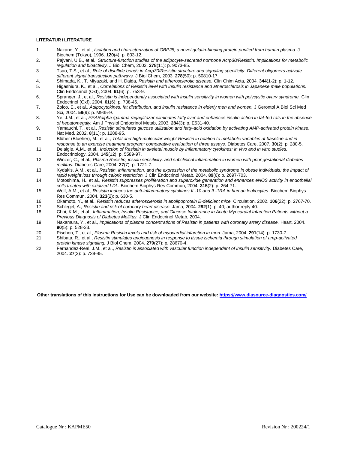# **LITERATUR / LITERATURE**

- 1. Nakano, Y., et al., *Isolation and characterization of GBP28, a novel gelatin-binding protein purified from human plasma.* J Biochem (Tokyo), 1996. **120**(4): p. 803-12.
- 2. Pajvani, U.B., et al., *Structure-function studies of the adipocyte-secreted hormone Acrp30/Resistin. Implications for metabolic regulation and bioactivity.* J Biol Chem, 2003. **278**(11): p. 9073-85.
- 3. Tsao, T.S., et al., *Role of disulfide bonds in Acrp30/Resistin structure and signaling specificity. Different oligomers activate different signal transduction pathways.* J Biol Chem, 2003. **278**(50): p. 50810-17.
- 4. Shimada, K., T. Miyazaki, and H. Daida, *Resistin and atherosclerotic disease.* Clin Chim Acta, 2004. **344**(1-2): p. 1-12.
- 5. Higashiura, K., et al., *Correlations of Resistin level with insulin resistance and atherosclerosis in Japanese male populations.* Clin Endocrinol (Oxf), 2004. **61**(6): p. 753-9.
- 6. Spranger, J., et al., *Resistin is independently associated with insulin sensitivity in women with polycystic ovary syndrome.* Clin Endocrinol (Oxf), 2004. **61**(6): p. 738-46.
- 7. Zoico, E., et al., *Adipocytokines, fat distribution, and insulin resistance in elderly men and women.* J Gerontol A Biol Sci Med Sci, 2004. **59**(9): p. M935-9.
- 8. Ye, J.M., et al., *PPARalpha /gamma ragaglitazar eliminates fatty liver and enhances insulin action in fat-fed rats in the absence of hepatomegaly.* Am J Physiol Endocrinol Metab, 2003. **284**(3): p. E531-40.
- 9. Yamauchi, T., et al., *Resistin stimulates glucose utilization and fatty-acid oxidation by activating AMP-activated protein kinase.* Nat Med, 2002. **8**(11): p. 1288-95.
- 10. Blüher (Blueher), M., et al., *Total and high-molecular weight Resistin in relation to metabolic variables at baseline and in response to an exercise treatment program: comparative evaluation of three assays.* Diabetes Care, 2007. **30**(2): p. 280-5.
- 11. Delaigle, A.M., et al., *Induction of Resistin in skeletal muscle by inflammatory cytokines: in vivo and in vitro studies.* Endocrinology, 2004. **145**(12): p. 5589-97.
- 12. Winzer, C., et al., *Plasma Resistin, insulin sensitivity, and subclinical inflammation in women with prior gestational diabetes mellitus.* Diabetes Care, 2004. **27**(7): p. 1721-7.
- 13. Xydakis, A.M., et al., *Resistin, inflammation, and the expression of the metabolic syndrome in obese individuals: the impact of rapid weight loss through caloric restriction.* J Clin Endocrinol Metab, 2004. **89**(6): p. 2697-703.
- 14. Motoshima, H., et al., *Resistin suppresses proliferation and superoxide generation and enhances eNOS activity in endothelial cells treated with oxidized LDL.* Biochem Biophys Res Commun, 2004. **315**(2): p. 264-71.
- 15. Wolf, A.M., et al., *Resistin induces the anti-inflammatory cytokines IL-10 and IL-1RA in human leukocytes.* Biochem Biophys Res Commun, 2004. **323**(2): p. 630-5.
- 16. Okamoto, Y., et al., *Resistin reduces atherosclerosis in apolipoprotein E-deficient mice.* Circulation, 2002. **106**(22): p. 2767-70.
- 17. Schlegel, A., *Resistin and risk of coronary heart disease.* Jama, 2004. **292**(1): p. 40; author reply 40.
- 18. Choi, K.M., et al., *Inflammation, Insulin Resistance, and Glucose Intolerance in Acute Myocardial Infarction Patients without a Previous Diagnosis of Diabetes Mellitus.* J Clin Endocrinol Metab, 2004.
- 19. Nakamura, Y., et al., *Implications of plasma concentrations of Resistin in patients with coronary artery disease.* Heart, 2004. **90**(5): p. 528-33.
- 20. Pischon, T., et al., *Plasma Resistin levels and risk of myocardial infarction in men.* Jama, 2004. **291**(14): p. 1730-7.
- 21. Shibata, R., et al., *Resistin stimulates angiogenesis in response to tissue ischemia through stimulation of amp-activated protein kinase signaling.* J Biol Chem, 2004. **279**(27): p. 28670-4.
- 22. Fernandez-Real, J.M., et al., *Resistin is associated with vascular function independent of insulin sensitivity.* Diabetes Care, 2004. **27**(3): p. 739-45.

**Other translations of this Instructions for Use can be downloaded from our website[: https://www.diasource-diagnostics.com/](https://www.diasource-diagnostics.com/)**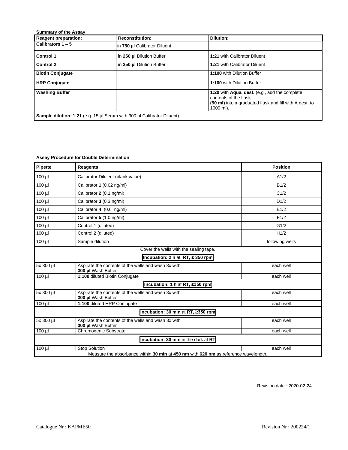| <b>Reagent preparation:</b> | <b>Reconstitution:</b>       | <b>Dilution:</b>                                                                                                                               |
|-----------------------------|------------------------------|------------------------------------------------------------------------------------------------------------------------------------------------|
| Calibrators $1 - 5$         | in 750 µl Calibrator Diluent |                                                                                                                                                |
| <b>Control 1</b>            | in 250 µl Dilution Buffer    | 1:21 with Calibrator Diluent                                                                                                                   |
| <b>Control 2</b>            | in 250 µl Dilution Buffer    | 1:21 with Calibrator Diluent                                                                                                                   |
| <b>Biotin Conjugate</b>     |                              | 1:100 with Dilution Buffer                                                                                                                     |
| <b>HRP Conjugate</b>        |                              | 1:100 with Dilution Buffer                                                                                                                     |
| <b>Washing Buffer</b>       |                              | 1:20 with Aqua. dest. (e.g., add the complete<br>contents of the flask<br>(50 ml) into a graduated flask and fill with A.dest. to<br>1000 ml). |

# **Assay Procedure for Double Determination**

| <b>Pipette</b> | <b>Reagents</b>                                                                     | <b>Position</b> |
|----------------|-------------------------------------------------------------------------------------|-----------------|
| $100$ $\mu$    | Calibrator Dilulent (blank value)                                                   | A1/2            |
| 100 µl         | Calibrator 1 (0.02 ng/ml)                                                           | B1/2            |
| 100 µl         | Calibrator 2 (0.1 ng/ml)                                                            | C1/2            |
| $100$ $\mu$    | Calibrator 3 (0.3 ng/ml)                                                            | D1/2            |
| $100$ $\mu$    | Calibrator 4 (0.6 ng/ml)                                                            | E1/2            |
| $100$ $\mu$    | Calibrator 5 (1.0 ng/ml)                                                            | F1/2            |
| $100$ $\mu$    | Control 1 (diluted)                                                                 | G1/2            |
| $100$ $\mu$    | Control 2 (diluted)                                                                 | H1/2            |
| $100$ $\mu$    | Sample dilution                                                                     | following wells |
|                | Cover the wells with the sealing tape.                                              |                 |
|                | Incubation: 2 h at RT, $\geq$ 350 rpm                                               |                 |
| 5x 300 µl      | Aspirate the contents of the wells and wash 3x with<br>300 µl Wash Buffer           | each well       |
| $100$ $\mu$    | 1:100 diluted Biotin Conjugate                                                      | each well       |
|                | Incubation: 1 h at RT, ≥350 rpm                                                     |                 |
| 5x 300 µl      | Aspirate the contents of the wells and wash 3x with<br>300 µl Wash Buffer           | each well       |
| $100$ µl       | 1:100 diluted HRP Conjugate                                                         | each well       |
|                | Incubation: 30 min at RT, ≥350 rpm                                                  |                 |
| 5x 300 µl      | Aspirate the contents of the wells and wash 3x with<br>300 µl Wash Buffer           | each well       |
| $100$ $\mu$    | <b>Chromogenic Substrate</b>                                                        | each well       |
|                | Incubation: 30 min in the dark at RT                                                |                 |
| $100$ µl       | <b>Stop Solution</b>                                                                | each well       |
|                | Measure the absorbance within 30 min at 450 nm with 620 nm as reference wavelength. |                 |

Revision date : 2020-02-24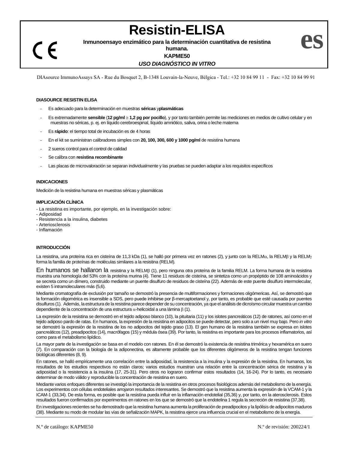# **Resistin-ELISA**

**Inmunoensayo enzimático para la determinación cuantitativa de resistina** 

**humana.**

**KAPME50**

# *USO DIAGNÓSTICO IN VITRO*

DIAsource ImmunoAssays SA - Rue du Bosquet 2, B-1348 Louvain-la-Neuve, Bélgica - Tel.: +32 10 84 99 11 - Fax: +32 10 84 99 91

# **DIASOURCE RESISTIN ELISA**

 $\epsilon$ 

- Es adecuado para la determinación en muestras **séricas** y**plasmáticas**
- Es extremadamente **sensible** (**12 pg/ml 1,2 pg por pocillo**), y por tanto también permite las mediciones en medios de cultivo celular y en muestras no séricas, p. ej. en líquido cerebroespinal, líquido amniótico, saliva, orina o leche materna
- Es **rápido**: el tiempo total de incubación es de 4 horas
- En el kit se suministran calibradores simples con **20, 100, 300, 600 y 1000 pg/ml** de resistina humana
- 2 sueros control para el control de calidad
- Se calibra con **resistina recombinante**
- Las placas de microvaloración se separan individualmente y las pruebas se pueden adaptar a los requisitos específicos

# **INDICACIONES**

Medición de la resistina humana en muestras séricas y plasmáticas

# **IMPLICACIÓN CLÍNICA**

- La resistina es importante, por ejemplo, en la investigación sobre:
- Adiposidad
- Resistencia a la insulina, diabetes
- Arteriosclerosis
- Inflamación

# **INTRODUCCIÓN**

La resistina, una proteína rica en cisteína de 11,3 kDa (1), se halló por primera vez en ratones (2), y junto con la RELM a, la RELM y la RELM y la RELM y la RELM y la RELM y la RELM y la RELM y la RELM y la RELM y la REL forma la familia de proteínas de moléculas similares a la resistina (RELM).

En humanos se hallaron la resistina y la RELM<sub>B</sub> (1), pero ninguna otra proteína de la familia RELM. La forma humana de la resistina muestra una homología del 53% con la proteína murina (4). Tiene 11 residuos de cisteína, se sintetiza como un propéptido de 108 aminoácidos y se secreta como un dímero, construido mediante un puente disulfuro de residuos de cisteína (22). Además de este puente disulfuro intermolecular, existen 5 intramoleculares más (5,6).

Mediante cromatografía de exclusión por tamaño se demostró la presencia de multiformaciones y formaciones oligómericas. Así, se demostró que la formación oligomérica es insensible a SDS, pero puede inhibirse por β-mercaptoetanol y, por tanto, es probable que esté causada por puentes disulfuros (1). Además, la estructura de la resistina parece depender de su concentración, ya que el análisis de dicroísmo circular muestra un cambio dependiente de la concentración de una estructura  $\alpha$ -helicoidal a una lámina  $\beta$  (1).

La expresión de la resistina se demostró en el tejido adiposo blanco (10), la pituitaria (11) y los islotes pancreáticos (12) de ratones, así como en el tejido adiposo pardo de ratas. En humanos, la expresión de la resistina en adipocitos se puede detectar, pero solo a un nivel muy bajo. Pero *in vitro*  se demostró la expresión de la resistina de los no adipocitos del tejido graso (13). El gen humano de la resistina también se expresa en islotes pancreáticos (12), preadipocitos (14), macrófagos (15) y médula ósea (39). Por tanto, la resistina es importante para los procesos inflamatorios, así como para el metabolismo lipídico.

La mayor parte de la investigación se basa en el modelo con ratones. En él se demostró la existencia de resistina trimérica y hexamérica en suero (7). En comparación con la biología de la adiponectina, es altamente probable que los diferentes oligómeros de la resistina tengan funciones biológicas diferentes (8, 9).

En ratones, se halló empíricamente una correlación entre la adiposidad, la resistencia a la insulina y la expresión de la resistina. En humanos, los resultados de los estudios respectivos no están claros; varios estudios muestran una relación entre la concentración sérica de resistina y la adiposidad o la resistencia a la insulina (17, 25-31). Pero otros no lograron confirmar estos resultados (14, 16-24). Por lo tanto, es necesario determinar de modo válido y reproducible la concentración de resistina en suero.

Mediante varios enfoques diferentes se investigó la importancia de la resistina en otros procesos fisiológicos además del metabolismo de la energía. Los experimentos con células endoteliales arrojaron resultados interesantes. Se demostró que la resistina aumenta la expresión de la VCAM-1 y la ICAM-1 (33,34). De esta forma, es posible que la resistina pueda influir en la inflamación endotelial (35,36) y, por tanto, en la aterosclerosis. Estos resultados fueron confirmados por experimentos en ratones en los que se demostró que la endotelina 1 regula la secreción de resistina (37,38).

En investigaciones recientes se ha demostrado que la resistina humana aumenta la proliferación de preadipocitos y la lipólisis de adipocitos maduros (38). Mediante su modo de modular las vías de señalización MAPK, la resistina ejerce una influencia crucial en el metabolismo de la energía.

**es**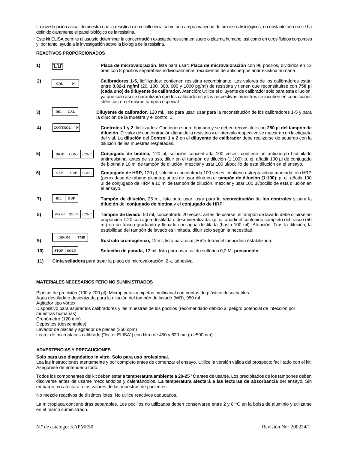La investigación actual demuestra que la resistina ejerce influencia sobre una amplia variedad de procesos fisiológicos; no obstante aún no se ha definido claramente el papel biológico de la resistina.

Este kit ELISA permite al usuario determinar la concentración exacta de resistina en suero o plasma humano, así como en otros fluidos corporales y, por tanto, ayuda a la investigación sobre la biología de la resistina.

# **REACTIVOS PROPORCIONADOS**

| 1)  | ш                                         | Placa de microvaloración, lista para usar: Placa de microvaloración con 96 pocillos, divididos en 12<br>tiras con 8 pocillos separables individualmente, recubiertos de anticuerpos antirresistina humana                                                                                                                                                                                                                                                                                |
|-----|-------------------------------------------|------------------------------------------------------------------------------------------------------------------------------------------------------------------------------------------------------------------------------------------------------------------------------------------------------------------------------------------------------------------------------------------------------------------------------------------------------------------------------------------|
| 2)  | <b>CAL</b><br>N                           | Calibradores 1-5, liofilizados: contienen resistina recombinante. Los valores de los calibradores están<br>entre 0,02-1 ng/ml (20, 100, 300, 600 y 1000 pg/ml) de resistina y tienen que reconstituirse con 750 µl<br>(cada uno) de diluyente de calibrador. Atención: Utilice el diluyente de calibrador solo para esta dilución,<br>ya que solo así se garantizará que los calibradores y las respectivas muestras se incuben en condiciones<br>idénticas en el mismo tampón especial. |
| 3)  | <b>CAL</b><br><b>DIL</b>                  | Diluyente de calibrador, 120 ml, listo para usar; usar para la reconstitución de los calibradores 1-5 y para<br>la dilución de la muestra y el control 1.                                                                                                                                                                                                                                                                                                                                |
| 4)  | <b>CONTROL</b><br>N                       | Controles 1 y 2, liofilizados: Contienen suero humano y se deben reconstituir con 250 µl del tampón de<br>dilución. El valor de concentración diana de la resistina y el intervalo respectivo se muestran en la etiqueta<br>del vial. La dilución del Control 1 y 2 en el diluyente de calibrador debe realizarse de acuerdo con la<br>dilución de las muestras respetadas.                                                                                                              |
| 5)  | CONC<br><b>BIOT</b><br><b>CONJ</b>        | Conjugado de biotina, 120 µl, solución concentrada 100 veces, contiene un anticuerpo biotinilado<br>antirresistina; antes de su uso, diluir en el tampón de dilución (1:100): p. ej. añadir 100 µl de conjugado<br>de biotina a 10 ml de tampón de dilución, mezclar y usar 100 µl/pocillo de esta dilución en el ensayo.                                                                                                                                                                |
| 6)  | CONC<br>SAV<br><b>HRP</b>                 | Conjugado de HRP, 120 µl, solución concentrada 100 veces, contiene estreptavidina marcada con HRP<br>(peroxidasa de rábano picante); antes de usar diluir en el tampón de dilución (1:100): p. ej. añadir 100<br>µl de conjugado de HRP a 10 ml de tampón de dilución, mezclar y usar 100 µl/pocillo de esta dilución en<br>el ensayo.                                                                                                                                                   |
| 7)  | DIL<br><b>BUF</b>                         | Tampón de dilución, 25 ml, listo para usar, usar para la reconstitución de los controles y para la<br>dilución del conjugado de biotina y el conjugado de HRP.                                                                                                                                                                                                                                                                                                                           |
| 8)  | <b>SOLN</b><br><b>CONC</b><br><b>WASH</b> | Tampón de lavado, 50 ml, concentrado 20 veces: antes de usarse, el tampón de lavado debe diluirse en<br>proporción 1:20 con agua destilada o desmineralizada. (p. ej. añadir el contenido completo del frasco (50<br>ml) en un frasco graduado y llenarlo con agua destilada (hasta 100 ml). Atención: Tras la dilución, la<br>estabilidad del tampón de lavado es limitada, diluir solo según la necesidad.                                                                             |
| 9)  | <b>CHROM</b><br>TMB                       | <b>Sustrato cromogénico,</b> 12 ml, listo para usar, H <sub>2</sub> O <sub>2</sub> -tetrametilbencidina estabilizada.                                                                                                                                                                                                                                                                                                                                                                    |
| 10) | STOP<br><b>SOLN</b>                       | Solución de parada, 12 ml, lista para usar, ácido sulfúrico 0,2 M, precaución.                                                                                                                                                                                                                                                                                                                                                                                                           |

**11) Cinta selladora** para tapar la placa de microvaloración, 2 x, adhesiva.

# **MATERIALES NECESARIOS PERO NO SUMINISTRADOS**

Pipetas de precisión (100 y 200 µl). Micropipetas y pipetas multicanal con puntas de plástico desechables Agua destilada o desionizada para la dilución del tampón de lavado (WB), 950 ml

Agitador tipo vórtex

Dispositivo para aspirar los calibradores y las muestras de los pocillos (recomendado debido al peligro potencial de infección por muestras humanas)

Cronómetro (120 min)

Depósitos (desechables)

Lavador de placas y agitador de placas (350 cpm)

Lector de microplacas calibrado ("lector ELISA") con filtro de 450 y 620 nm (o  $\geq$ 590 nm)

# **ADVERTENCIAS Y PRECAUCIONES**

# **Solo para uso diagnóstico in vitro. Solo para uso profesional.**

Lea las instrucciones atentamente y por completo antes de comenzar el ensayo. Utilice la versión válida del prospecto facilitado con el kit. Asegúrese de entenderlo todo.

Todos los componentes del kit deben estar **a temperatura ambiente a 20-25 °C** antes de usarse. Los precipitados de los tampones deben disolverse antes de usarse mezclándolos y calentándolos. **La temperatura afectará a las lecturas de absorbancia** del ensayo. Sin embargo, no afectará a los valores de las muestras de pacientes.

No mezcle reactivos de distintos lotes. No utilice reactivos caducados.

La microplaca contiene tiras separables. Los pocillos no utilizados deben conservarse entre 2 y 8 °C en la bolsa de aluminio y utilizarse en el marco suministrado.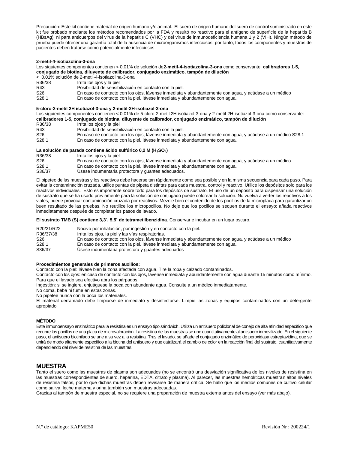Precaución: Este kit contiene material de origen humano y/o animal. El suero de origen humano del suero de control suministrado en este kit fue probado mediante los métodos recomendados por la FDA y resultó no reactivo para el antígeno de superficie de la hepatitis B (HBsAg), ni para anticuerpos del virus de la hepatitis C (VHC) y del virus de inmunodeficiencia humana 1 y 2 (VIH). Ningún método de prueba puede ofrecer una garantía total de la ausencia de microorganismos infecciosos; por tanto, todos los componentes y muestras de pacientes deben tratarse como potencialmente infecciosos.

# **2-metil-4-isotiazolina-3-ona**

# Los siguientes componentes contienen < 0,01% de solución de**2-metil-4-isotiazolina-3-ona** como conservante: **calibradores 1-5, conjugado de biotina, diluyente de calibrador, conjugado enzimático, tampón de dilución**

< 0,01% solución de 2-metil-4-isotiazolina-3-ona

| R36/38 | Irrita los ojos y la piel       |
|--------|---------------------------------|
| D 10   | Deelkiided de eeseikiideelfa es |

- R43 Posibilidad de sensibilización en contacto con la piel.<br>S26 Fincaso de contacto con los oios, lávense inmediata
- S26 En caso de contacto con los ojos, lávense inmediata y abundantemente con agua, y acúdase a un médico<br>S28.1 Fn caso de contacto con la piel, lávese inmediata y abundantemente con agua.
- En caso de contacto con la piel, lávese inmediata y abundantemente con agua.

#### **5-cloro-2-metil 2H isotiazol-3-ona y 2-metil-2H-isotiazol-3-ona**

Los siguientes componentes contienen < 0,01% de 5-cloro-2-metil 2H isotiazol-3-ona y 2-metil-2H-isotiazol-3-ona como conservante:

**calibradores 1-5, conjugado de biotina, diluyente de calibrador, conjugado enzimático, tampón de dilución** R36/38 Irrita los ojos y la piel R43 Posibilidad de sensibilización en contacto con la piel.<br>S26 Fincaso de contacto con los ojos, lávense inmediata S26 En caso de contacto con los ojos, lávense inmediata y abundantemente con agua, y acúdase a un médico S28.1<br>S28.1 Fn caso de contacto con la piel, lávese inmediata y abundantemente con agua. En caso de contacto con la piel, lávese inmediata y abundantemente con agua.

# **La solución de parada contiene ácido sulfúrico 0,2 M (H2SO4)**

| R36/38            | Irrita los ojos y la piel                                                                            |
|-------------------|------------------------------------------------------------------------------------------------------|
| S <sub>26</sub>   | En caso de contacto con los ojos, lávense inmediata y abundantemente con aqua, y acúdase a un médico |
| S <sub>28.1</sub> | En caso de contacto con la piel, lávese inmediata y abundantemente con aqua.                         |
| S36/37            | Usese indumentaria protectora y quantes adecuados.                                                   |

El pipeteo de las muestras y los reactivos debe hacerse tan rápidamente como sea posible y en la misma secuencia para cada paso. Para evitar la contaminación cruzada, utilice puntas de pipeta distintas para cada muestra, control y reactivo. Utilice los depósitos solo para los reactivos individuales. Esto es importante sobre todo para los depósitos de sustrato. El uso de un depósito para dispensar una solución de sustrato que se ha usado previamente para la solución de conjugado puede colorear la solución. No vuelva a verter los reactivos a los viales, puede provocar contaminación cruzada por reactivos. Mezcle bien el contenido de los pocillos de la microplaca para garantizar un buen resultado de las pruebas. No reutilice los micropocillos. No deje que los pocillos se sequen durante el ensayo; añada reactivos inmediatamente después de completar los pasos de lavado.

**El sustrato TMB (S) contiene 3,3´, 5,5´ de tetrametilbenzidina**. Conservar e incubar en un lugar oscuro.

| R20/21/R22        | Nocivo por inhalación, por ingestión y en contacto con la piel.                                      |
|-------------------|------------------------------------------------------------------------------------------------------|
| R36/37/38         | Irrita los ojos, la piel y las vías respiratorias.                                                   |
| S <sub>26</sub>   | En caso de contacto con los ojos, lávense inmediata y abundantemente con agua, y acúdase a un médico |
| S <sub>28.1</sub> | En caso de contacto con la piel, lávese inmediata y abundantemente con aqua.                         |
| S36/37            | Usese indumentaria protectora y quantes adecuados                                                    |

# **Procedimientos generales de primeros auxilios:**

Contacto con la piel: lávese bien la zona afectada con agua. Tire la ropa y calzado contaminados.

Contacto con los ojos: en caso de contacto con los ojos, lávense inmediata y abundantemente con agua durante 15 minutos como mínimo. Para que el lavado sea efectivo abra los párpados.

Ingestión: si se ingiere, enjuáguese la boca con abundante agua. Consulte a un médico inmediatamente.

No coma, beba ni fume en estas zonas.

No pipetee nunca con la boca los materiales.

El material derramado debe limpiarse de inmediato y desinfectarse. Limpie las zonas y equipos contaminados con un detergente apropiado.

# **MÉTODO**

Este inmunoensayo enzimático para la resistina es un ensayo tipo sándwich. Utiliza un antisuero policlonal de conejo de alta afinidad específico que recubre los pocillos de una placa de microvaloración. La resistina de las muestras se une cuantitativamente al antisuero inmovilizado. En el siguiente paso, el antisuero biotinilado se une a su vez a la resistina. Tras el lavado, se añade el conjugado enzimático de peroxidasa estreptavidina, que se unirá de modo altamente específico a la biotina del antisuero y que catalizará el cambio de color en la reacción final del sustrato, cuantitativamente dependiendo del nivel de resistina de las muestras.

# **MUESTRA**

Tanto el suero como las muestras de plasma son adecuados (no se encontró una desviación significativa de los niveles de resistina en las muestras correspondientes de suero, heparina, EDTA, citrato y plasma). Al parecer, las muestras hemolíticas muestran altos niveles de resistina falsos, por lo que dichas muestras deben revisarse de manera crítica. Se halló que los medios comunes de cultivo celular como saliva, leche materna y orina también son muestras adecuadas.

Gracias al tampón de muestra especial, no se requiere una preparación de muestra externa antes del ensayo (ver más abajo).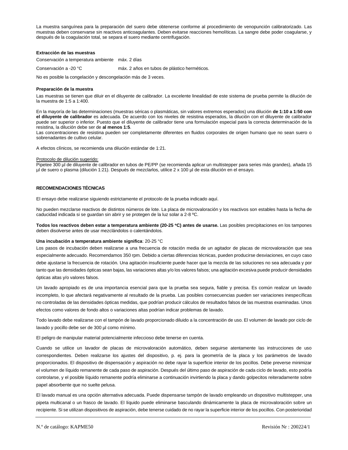La muestra sanguínea para la preparación del suero debe obtenerse conforme al procedimiento de venopunción calibratorizado. Las muestras deben conservarse sin reactivos anticoagulantes. Deben evitarse reacciones hemolíticas. La sangre debe poder coagularse, y después de la coagulación total, se separa el suero mediante centrifugación.

# **Extracción de las muestras**

Conservación a temperatura ambiente máx. 2 días

Conservación a -20 °C máx. 2 años en tubos de plástico herméticos.

No es posible la congelación y descongelación más de 3 veces.

# **Preparación de la muestra**

Las muestras se tienen que diluir en el diluyente de calibrador. La excelente linealidad de este sistema de prueba permite la dilución de la muestra de 1:5 a 1:400.

En la mayoría de las determinaciones (muestras séricas o plasmáticas, sin valores extremos esperados) una dilución **de 1:10 a 1:50 con el diluyente de calibrador** es adecuada. De acuerdo con los niveles de resistina esperados, la dilución con el diluyente de calibrador puede ser superior o inferior. Puesto que el diluyente de calibrador tiene una formulación especial para la correcta determinación de la resistina, la dilución debe ser de **al menos 1:5**.

Las concentraciones de resistina pueden ser completamente diferentes en fluidos corporales de origen humano que no sean suero o sobrenadantes de cultivo celular.

A efectos clínicos, se recomienda una dilución estándar de 1:21.

# Protocolo de dilución sugerido:

Pipetee 300 µl de diluyente de calibrador en tubos de PE/PP (se recomienda aplicar un multistepper para series más grandes), añada 15 µl de suero o plasma (dilución 1:21). Después de mezclarlos, utilice 2 x 100 µl de esta dilución en el ensayo.

# **RECOMENDACIONES TÉCNICAS**

El ensayo debe realizarse siguiendo estrictamente el protocolo de la prueba indicado aquí.

No pueden mezclarse reactivos de distintos números de lote. La placa de microvaloración y los reactivos son estables hasta la fecha de caducidad indicada si se guardan sin abrir y se protegen de la luz solar a 2-8 ºC.

**Todos los reactivos deben estar a temperatura ambiente (20-25 C) antes de usarse.** Las posibles precipitaciones en los tampones deben disolverse antes de usar mezclándolos o calentándolos.

# **Una incubación a temperatura ambiente significa**: 20-25 °C

Los pasos de incubación deben realizarse a una frecuencia de rotación media de un agitador de placas de microvaloración que sea especialmente adecuado. Recomendamos 350 rpm. Debido a ciertas diferencias técnicas, pueden producirse desviaciones, en cuyo caso debe ajustarse la frecuencia de rotación. Una agitación insuficiente puede hacer que la mezcla de las soluciones no sea adecuada y por tanto que las densidades ópticas sean bajas, las variaciones altas y/o los valores falsos; una agitación excesiva puede producir densidades ópticas altas y/o valores falsos.

Un lavado apropiado es de una importancia esencial para que la prueba sea segura, fiable y precisa. Es común realizar un lavado incompleto, lo que afectará negativamente al resultado de la prueba. Las posibles consecuencias pueden ser variaciones inespecíficas no controladas de las densidades ópticas medidas, que podrían producir cálculos de resultados falsos de las muestras examinadas. Unos efectos como valores de fondo altos o variaciones altas podrían indicar problemas de lavado.

Todo lavado debe realizarse con el tampón de lavado proporcionado diluido a la concentración de uso. El volumen de lavado por ciclo de lavado y pocillo debe ser de 300 µl como mínimo.

El peligro de manipular material potencialmente infeccioso debe tenerse en cuenta.

Cuando se utilice un lavador de placas de microvaloración automático, deben seguirse atentamente las instrucciones de uso correspondientes. Deben realizarse los ajustes del dispositivo, p. ej. para la geometría de la placa y los parámetros de lavado proporcionados. El dispositivo de dispensación y aspiración no debe rayar la superficie interior de los pocillos. Debe preverse minimizar el volumen de líquido remanente de cada paso de aspiración. Después del último paso de aspiración de cada ciclo de lavado, esto podría controlarse, y el posible líquido remanente podría eliminarse a continuación invirtiendo la placa y dando golpecitos reiteradamente sobre papel absorbente que no suelte pelusa.

El lavado manual es una opción alternativa adecuada. Puede dispensarse tampón de lavado empleando un dispositivo multistepper, una pipeta multicanal o un frasco de lavado. El líquido puede eliminarse basculando dinámicamente la placa de microvaloración sobre un recipiente. Si se utilizan dispositivos de aspiración, debe tenerse cuidado de no rayar la superficie interior de los pocillos. Con posterioridad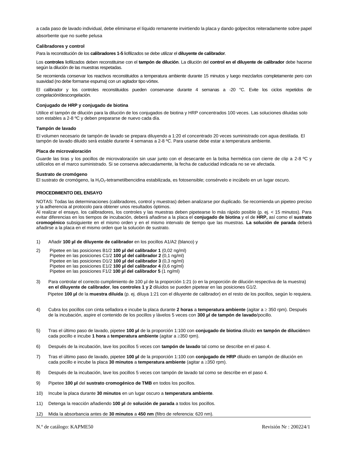a cada paso de lavado individual, debe eliminarse el líquido remanente invirtiendo la placa y dando golpecitos reiteradamente sobre papel absorbente que no suelte pelusa

# **Calibradores y control**

Para la reconstitución de los **calibradores 1-5** liofilizados se debe utilizar el **diluyente de calibrador**.

Los **controles** liofilizados deben reconstituirse con el **tampón de dilución**. La dilución del **control en el diluyente de calibrador** debe hacerse según la dilución de las muestras respetadas.

Se recomienda conservar los reactivos reconstituidos a temperatura ambiente durante 15 minutos y luego mezclarlos completamente pero con suavidad (no debe formarse espuma) con un agitador tipo vórtex.

El calibrador y los controles reconstituidos pueden conservarse durante 4 semanas a -20 °C. Evite los ciclos repetidos de congelación/descongelación.

# **Conjugado de HRP y conjugado de biotina**

Utilice el tampón de dilución para la dilución de los conjugados de biotina y HRP concentrados 100 veces. Las soluciones diluidas solo son estables a 2-8 ºC y deben prepararse de nuevo cada día.

# **Tampón de lavado**

El volumen necesario de tampón de lavado se prepara diluyendo a 1:20 el concentrado 20 veces suministrado con agua destilada. El tampón de lavado diluido será estable durante 4 semanas a 2-8 ºC. Para usarse debe estar a temperatura ambiente.

#### **Placa de microvaloración**

Guarde las tiras y los pocillos de microvaloración sin usar junto con el desecante en la bolsa hermética con cierre de clip a 2-8 °C y utilícelos en el marco suministrado. Si se conserva adecuadamente, la fecha de caducidad indicada no se ve afectada.

#### **Sustrato de cromógeno**

El sustrato de cromógeno, la H<sub>2</sub>O<sub>2</sub>-tetrametilbencidina estabilizada, es fotosensible; consérvelo e incúbelo en un lugar oscuro.

# **PROCEDIMIENTO DEL ENSAYO**

NOTAS: Todas las determinaciones (calibradores, control y muestras) deben analizarse por duplicado. Se recomienda un pipeteo preciso y la adherencia al protocolo para obtener unos resultados óptimos.

Al realizar el ensayo, los calibradores, los controles y las muestras deben pipetearse lo más rápido posible (p. ej. < 15 minutos). Para evitar diferencias en los tiempos de incubación, deberá añadirse a la placa el **conjugado de biotina** y el de **HRP,** así como el **sustrato cromogénico** subsiguiente en el mismo orden y en el mismo intervalo de tiempo que las muestras. **La solución de parada** deberá añadirse a la placa en el mismo orden que la solución de sustrato.

- 1) Añadir **100 µl de diluyente de calibrador** en los pocillos A1/A2 (blanco) y
- 2) Pipetee en las posiciones B1/2 **100 µl del calibrador 1** (0,02 ng/ml) Pipetee en las posiciones C1/2 **100 µl del calibrador 2** (0,1 ng/ml) Pipetee en las posiciones D1/2 **100 µl del calibrador 3** (0,3 ng/ml) Pipetee en las posiciones E1/2 **100 µl del calibrador 4** (0,6 ng/ml) Pipetee en las posiciones F1/2 **100 µl del calibrador 5** (1 ng/ml)
- 3) Para controlar el correcto cumplimiento de 100 µl de la proporción 1:21 (o en la proporción de dilución respectiva de la muestra) **en el diluyente de calibrador**, **los controles 1 y 2** diluidos se pueden pipetear en las posiciones G1/2. Pipetee **100 µl** de la **muestra diluida** (p. ej. diluya 1:21 con el diluyente de calibrador) en el resto de los pocillos, según lo requiera.
- 4) Cubra los pocillos con cinta selladora e incube la placa durante **2 horas** a **temperatura ambiente** (agitar a 350 rpm). Después de la incubación, aspire el contenido de los pocillos y lávelos 5 veces con **300 µl de tampón de lavado**/pocillo.
- 5) Tras el último paso de lavado, pipetee **100 µl** de la proporción 1:100 con **conjugado de biotina** diluido **en tampón de dilución**en cada pocillo e incube **1 hora** a **temperatura ambiente** (agitar a 350 rpm).
- 6) Después de la incubación, lave los pocillos 5 veces con **tampón de lavado** tal como se describe en el paso 4.
- 7) Tras el último paso de lavado, pipetee **100 µl** de la proporción 1:100 con **conjugado de HRP** diluido en tampón de dilución en cada pocillo e incube la placa **30 minutos** a **temperatura ambiente** (agitar a 350 rpm).
- 8) Después de la incubación, lave los pocillos 5 veces con tampón de lavado tal como se describe en el paso 4.
- 9) Pipetee **100 µl** del **sustrato cromogénico de TMB** en todos los pocillos.
- 10) Incube la placa durante **30 minutos** en un lugar oscuro a **temperatura ambiente**.
- 11) Detenga la reacción añadiendo **100 µl** de **solución de parada** a todos los pocillos.
- 12) Mida la absorbancia antes de **30 minutos** a **450 nm** (filtro de referencia: 620 nm).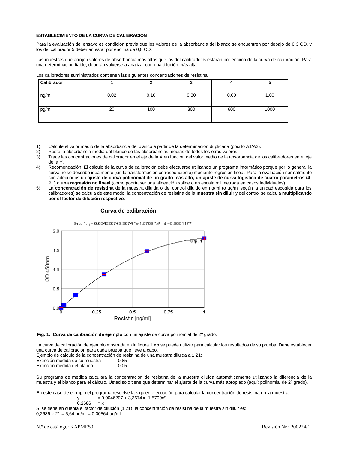# **ESTABLECIMIENTO DE LA CURVA DE CALIBRACIÓN**

Para la evaluación del ensayo es condición previa que los valores de la absorbancia del blanco se encuentren por debajo de 0,3 OD, y los del calibrador 5 deberían estar por encima de 0,8 OD.

Las muestras que arrojen valores de absorbancia más altos que los del calibrador 5 estarán por encima de la curva de calibración. Para una determinación fiable, deberán volverse a analizar con una dilución más alta.

| Calibrador |      | 4    | v    |      |      |
|------------|------|------|------|------|------|
| ng/ml      | 0,02 | 0,10 | 0,30 | 0,60 | 1,00 |
| pg/ml      | 20   | 100  | 300  | 600  | 1000 |

Los calibradores suministrados contienen las siguientes concentraciones de resistina:

- 1) Calcule el valor medio de la absorbancia del blanco a partir de la determinación duplicada (pocillo A1/A2).
- 
- 2) Reste la absorbancia media del blanco de las absorbancias medias de todos los otros valores 3) Trace las concentraciones de calibrador en el eje de la X en función del valor medio de la absorbancia de los calibradores en el eje de la Y.
- 4) Recomendación: El cálculo de la curva de calibración debe efectuarse utilizando un programa informático porque por lo general la curva no se describe idealmente (sin la transformación correspondiente) mediante regresión lineal. Para la evaluación normalmente son adecuados un **ajuste de curva polinomial de un grado más alto, un ajuste de curva logística de cuatro parámetros (4- PL)** o **una regresión no lineal** (como podría ser una alineación spline o en escala milimetrada en casos individuales).
- 5) La **concentración de resistina** de la muestra diluida o del control diluido en ng/ml (o µg/ml según la unidad escogida para los calibradores) se calcula de este modo, la concentración de resistina de la **muestra sin diluir** y del control se calcula **multiplicando por el factor de dilución respectivo**.

# **Curva de calibración**







La curva de calibración de ejemplo mostrada en la figura 1 **no** se puede utilizar para calcular los resultados de su prueba. Debe establecer una curva de calibración para cada prueba que lleve a cabo.

Ejemplo de cálculo de la concentración de resistina de una muestra diluida a 1:21: Extinción medida de su muestra 0,85 Extinción medida del blanco 0,05

Su programa de medida calculará la concentración de resistina de la muestra diluida automáticamente utilizando la diferencia de la muestra y el blanco para el cálculo. Usted solo tiene que determinar el ajuste de la curva más apropiado (aquí: polinomial de 2º grado).

En este caso de ejemplo el programa resuelve la siguiente ecuación para calcular la concentración de resistina en la muestra:  $y = 0,0046207 + 3,3674x - 1,5709x^2$ 

$$
0,2686 = x
$$

Si se tiene en cuenta el factor de dilución (1:21), la concentración de resistina de la muestra sin diluir es:  $0,2686 \times 21 = 5,64$  ng/ml = 0,00564 µg/ml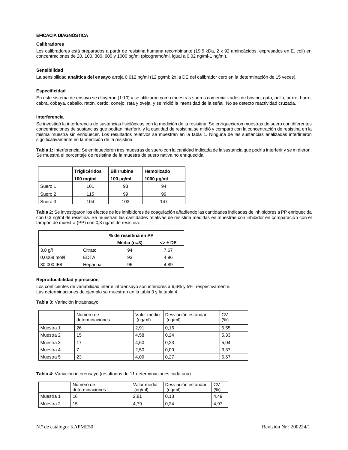# **EFICACIA DIAGNÓSTICA**

# **Calibradores**

Los calibradores está preparados a partir de resistina humana recombinante (19,5 kDa, 2 x 92 aminoácidos, expresados en E. coli) en concentraciones de 20, 100, 300, 600 y 1000 pg/ml (picogramo/ml, igual a 0,02 ng/ml-1 ng/ml).

# **Sensibilidad**

**La** sensibilidad **analítica del ensayo** arroja 0,012 ng/ml (12 pg/ml; 2x la DE del calibrador cero en la determinación de 15 veces).

# **Especificidad**

En este sistema de ensayo se diluyeron (1:10) y se utilizaron como muestras sueros comercializados de bovino, gato, pollo, perro, burro, cabra, cobaya, caballo, ratón, cerdo, conejo, rata y oveja, y se midió la intensidad de la señal. No se detectó reactividad cruzada.

# **Interferencia**

Se investigó la interferencia de sustancias fisiológicas con la medición de la resistina. Se enriquecieron muestras de suero con diferentes concentraciones de sustancias que podían interferir, y la cantidad de resistina se midió y comparó con la concentración de resistina en la misma muestra sin enriquecer. Los resultados relativos se muestran en la tabla 1. Ninguna de las sustancias analizadas interfirieron significativamente en la medición de la resistina.

**Tabla 1:** Interferencia: Se enriquecieron tres muestras de suero con la cantidad indicada de la sustancia que podría interferir y se midieron. Se muestra el porcentaje de resistina de la muestra de suero nativa no enriquecida.

|         | <b>Triglicéridos</b> | <b>Bilirrubina</b> | Hemolizado      |
|---------|----------------------|--------------------|-----------------|
|         | 100 mg/ml            | 100 $\mu$ g/ml     | 1000 $\mu$ g/ml |
| Suero 1 | 101                  | 93                 | 94              |
| Suero 2 | 115                  | 99                 | 99              |
| Suero 3 | 104                  | 103                | 147             |

**Tabla 2:** Se investigaron los efectos de los inhibidores de coagulación añadiendo las cantidades indicadas de inhibidores a PP enriquecida con 0,3 ng/ml de resistina. Se muestran las cantidades relativas de resistina medidas en muestras con inhibidor en comparación con el tampón de muestra (PP) con 0,3 ng/ml de resistina.

|              |             | % de resistina en PP |         |
|--------------|-------------|----------------------|---------|
|              |             | Media $(n=3)$        | <> ± DE |
| $3,8$ g/l    | Citrato     | 94                   | 7,67    |
| 0,0068 mol/l | <b>EDTA</b> | 93                   | 4,96    |
| 30 000 IE/I  | Heparina    | 96                   | 4.89    |

# **Reproducibilidad y precisión**

Los coeficientes de variabilidad inter e intraensayo son inferiores a 6,6% y 5%, respectivamente. Las determinaciones de ejemplo se muestran en la tabla 3 y la tabla 4.

**Tabla 3:** Variación intraensayo

|           | Número de<br>determinaciones | Valor medio<br>(ng/ml) | Desviación estándar<br>(nq/ml) | CV<br>(% ) |
|-----------|------------------------------|------------------------|--------------------------------|------------|
| Muestra 1 | 26                           | 2,91                   | 0,16                           | 5,55       |
| Muestra 2 | 15                           | 4.58                   | 0.24                           | 5,33       |
| Muestra 3 | 17                           | 4,60                   | 0,23                           | 5,04       |
| Muestra 4 |                              | 2,50                   | 0.09                           | 3,37       |
| Muestra 5 | 23                           | 4,09                   | 0,27                           | 6,67       |

**Tabla 4:** Variación interensayo (resultados de 11 determinaciones cada una)

|           | Número de<br>determinaciones | Valor medio<br>(na/ml) | Desviación estándar<br>(nq/ml) | CV<br>(% ) |
|-----------|------------------------------|------------------------|--------------------------------|------------|
| Muestra 1 | 16                           | 2.81                   | 0.13                           | 4.49       |
| Muestra 2 | 15                           | 4.79                   | 0.24                           | 4.97       |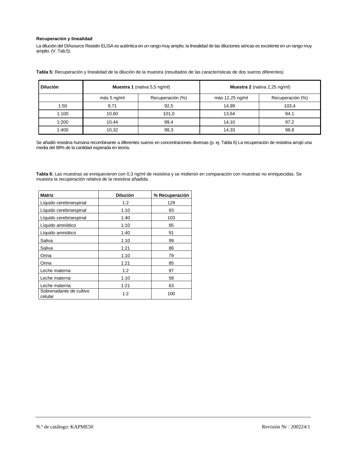# **Recuperación y linealidad**

La dilución del DIAsource Resistin ELISA es auténtica en un rango muy amplio, la linealidad de las diluciones séricas es excelente en un rango muy amplio. (V. Tab.5).

**Tabla 5:** Recuperación y linealidad de la dilución de la muestra (resultados de las características de dos sueros diferentes)

| <b>Dilución</b> | <b>Muestra 1</b> (nativa 5,5 ng/ml) |                  | <b>Muestra 2</b> (nativa 2,25 ng/ml) |                  |
|-----------------|-------------------------------------|------------------|--------------------------------------|------------------|
|                 | más 5 ng/ml                         | Recuperación (%) | más 12,25 ng/ml                      | Recuperación (%) |
| 1:50            | 9,71                                | 92,5             | 14.99                                | 103,4            |
| 1:100           | 10,60                               | 101,0            | 13.64                                | 94,1             |
| 1:200           | 10.44                               | 99,4             | 14.10                                | 97,2             |
| 1:400           | 10,32                               | 98,3             | 14,33                                | 98,8             |

Se añadió resistina humana recombinante a diferentes sueros en concentraciones diversas (p. ej. Tabla 6) La recuperación de resistina arrojó una media del 98% de la cantidad esperada en teoría.

**Tabla 6:** Las muestras se enriquecieron con 0,3 ng/ml de resistina y se midieron en comparación con muestras no enriquecidas. Se muestra la recuperación relativa de la resistina añadida.

| <b>Matriz</b>                      | <b>Dilución</b> | % Recuperación |
|------------------------------------|-----------------|----------------|
| Líquido cerebroespinal             | 1:2             | 129            |
| Líquido cerebroespinal             | 1:10            | 93             |
| Líquido cerebroespinal             | 1:40            | 103            |
| Líquido amniótico                  | 1:10            | 85             |
| Líquido amniótico                  | 1:40            | 91             |
| Saliva                             | 1:10            | 99             |
| Saliva                             | 1:21            | 86             |
| Orina                              | 1:10            | 79             |
| Orina                              | 1:21            | 85             |
| Leche materna                      | 1:2             | 97             |
| Leche materna                      | 1:10            | 58             |
| Leche materna                      | 1:21            | 63             |
| Sobrenadante de cultivo<br>celular | 1:2             | 100            |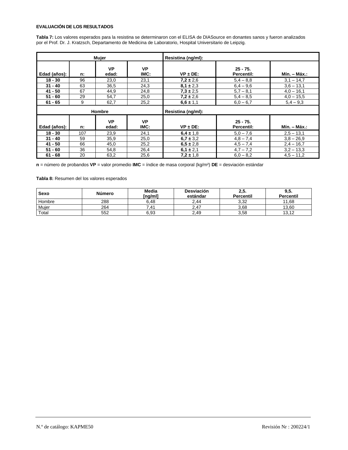# **EVALUACIÓN DE LOS RESULTADOS**

**Tabla 7:** Los valores esperados para la resistina se determinaron con el ELISA de DIASource en donantes sanos y fueron analizados por el Prof. Dr. J. Kratzsch, Departamento de Medicina de Laboratorio, Hospital Universitario de Leipzig.

|              |     | Mujer              |                    | Resistina (ng/ml): |                          |              |
|--------------|-----|--------------------|--------------------|--------------------|--------------------------|--------------|
| Edad (años): | n:  | <b>VP</b><br>edad: | <b>VP</b><br>IMC:  | $VP \pm DE$ :      | $25 - 75.$<br>Percentil: | Mín. – Máx.: |
| $18 - 30$    | 96  | 23,0               | 23,1               | $7,2 \pm 2,6$      | $5,4 - 8,8$              | $3,1 - 14,7$ |
| $31 - 40$    | 63  | 36,5               | 24,3               | $8.1 \pm 2.3$      | $6.4 - 9.6$              | $3,6 - 13,1$ |
| $41 - 50$    | 67  | 44,9               | 24,8               | $7,3 \pm 2,5$      | $5,7 - 8,1$              | $4.0 - 16.1$ |
| $51 - 60$    | 29  | 54,7               | 25,0               | $7,2 \pm 2,6$      | $5,4 - 8,5$              | $4,0 - 15,5$ |
| $61 - 65$    | 9   | 62,7               | 25,2               | $6,6 \pm 1,1$      | $6,0 - 6,7$              | $5,4 - 9,3$  |
| Hombre       |     |                    | Resistina (ng/ml): |                    |                          |              |
| Edad (años): | n:  | <b>VP</b><br>edad: | <b>VP</b><br>IMC:  | $VP \pm DE$ :      | $25 - 75.$<br>Percentil: | Mín. – Máx.: |
| $18 - 30$    | 107 | 23,9               | 24,1               | $6.4 \pm 1.8$      | $5.0 - 7.6$              | $2,5 - 13,1$ |
| $31 - 40$    | 59  | 35,9               | 25,0               | $6,7 \pm 3,2$      | $4,8 - 7,4$              | $3.8 - 26.9$ |
| 41 - 50      | 66  | 45,0               | 25,2               | $6,5 \pm 2,8$      | $4,5 - 7,4$              | $2,4 - 16,7$ |
| $51 - 60$    | 36  | 54,8               | 26,4               | $6,1 \pm 2,1$      | $4,7 - 7,2$              | $3,2 - 13,3$ |
| $61 - 68$    | 20  | 63,2               | 25,6               | $7.2 \pm 1.8$      | $6,0 - 8,2$              | $4,5 - 11,2$ |

**n** = número de probandos **VP** = valor promedio **IMC** = índice de masa corporal (kg/m²) **DE** = desviación estándar

**Tabla 8:** Resumen del los valores esperados

| Sexo   | <b>Número</b> | Media<br>[ng/ml] | <b>Desviación</b><br>estándar | ∠,ວ.<br><b>Percentil</b> | 9,5.<br><b>Percentil</b> |
|--------|---------------|------------------|-------------------------------|--------------------------|--------------------------|
| Hombre | 288           | 6.48             | 2,44                          | 3,32                     | 11.68                    |
| Mujer  | 264           |                  | $\sim$ .47                    | 3,68                     | 13.60                    |
| Total  | 552           | 6,93             | 2,49                          | 3,58                     | 13.12                    |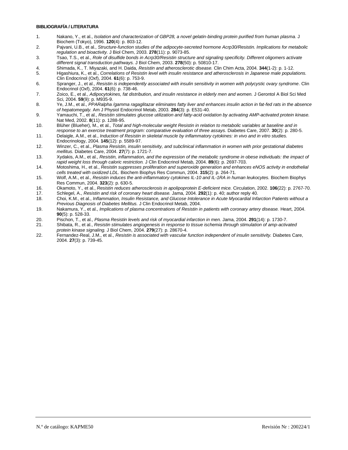# **BIBLIOGRAFÍA / LITERATURA**

- 1. Nakano, Y., et al., *Isolation and characterization of GBP28, a novel gelatin-binding protein purified from human plasma.* J Biochem (Tokyo), 1996. **120**(4): p. 803-12.
- 2. Pajvani, U.B., et al., *Structure-function studies of the adipocyte-secreted hormone Acrp30/Resistin. Implications for metabolic regulation and bioactivity.* J Biol Chem, 2003. **278**(11): p. 9073-85.
- 3. Tsao, T.S., et al., *Role of disulfide bonds in Acrp30/Resistin structure and signaling specificity. Different oligomers activate different signal transduction pathways.* J Biol Chem, 2003. **278**(50): p. 50810-17.
- 4. Shimada, K., T. Miyazaki, and H. Daida, *Resistin and atherosclerotic disease.* Clin Chim Acta, 2004. **344**(1-2): p. 1-12.
- 5. Higashiura, K., et al., *Correlations of Resistin level with insulin resistance and atherosclerosis in Japanese male populations.* Clin Endocrinol (Oxf), 2004. **61**(6): p. 753-9.
- 6. Spranger, J., et al., *Resistin is independently associated with insulin sensitivity in women with polycystic ovary syndrome.* Clin Endocrinol (Oxf), 2004. **61**(6): p. 738-46.
- 7. Zoico, E., et al., *Adipocytokines, fat distribution, and insulin resistance in elderly men and women.* J Gerontol A Biol Sci Med Sci, 2004. **59**(9): p. M935-9.
- 8. Ye, J.M., et al., *PPARalpha /gamma ragaglitazar eliminates fatty liver and enhances insulin action in fat-fed rats in the absence of hepatomegaly.* Am J Physiol Endocrinol Metab, 2003. **284**(3): p. E531-40.
- 9. Yamauchi, T., et al., *Resistin stimulates glucose utilization and fatty-acid oxidation by activating AMP-activated protein kinase.* Nat Med, 2002. **8**(11): p. 1288-95.
- 10. Blüher (Blueher), M., et al., *Total and high-molecular weight Resistin in relation to metabolic variables at baseline and in response to an exercise treatment program: comparative evaluation of three assays.* Diabetes Care, 2007. **30**(2): p. 280-5.
- 11. Delaigle, A.M., et al., *Induction of Resistin in skeletal muscle by inflammatory cytokines: in vivo and in vitro studies.* Endocrinology, 2004. **145**(12): p. 5589-97.
- 12. Winzer, C., et al., *Plasma Resistin, insulin sensitivity, and subclinical inflammation in women with prior gestational diabetes mellitus.* Diabetes Care, 2004. **27**(7): p. 1721-7.
- 13. Xydakis, A.M., et al., *Resistin, inflammation, and the expression of the metabolic syndrome in obese individuals: the impact of rapid weight loss through caloric restriction.* J Clin Endocrinol Metab, 2004. **89**(6): p. 2697-703.
- 14. Motoshima, H., et al., *Resistin suppresses proliferation and superoxide generation and enhances eNOS activity in endothelial cells treated with oxidized LDL.* Biochem Biophys Res Commun, 2004. **315**(2): p. 264-71.
- 15. Wolf, A.M., et al., *Resistin induces the anti-inflammatory cytokines IL-10 and IL-1RA in human leukocytes.* Biochem Biophys Res Commun, 2004. **323**(2): p. 630-5.
- 16. Okamoto, Y., et al., *Resistin reduces atherosclerosis in apolipoprotein E-deficient mice.* Circulation, 2002. **106**(22): p. 2767-70.
- 17. Schlegel, A., *Resistin and risk of coronary heart disease.* Jama, 2004. **292**(1): p. 40; author reply 40.
- 18. Choi, K.M., et al., *Inflammation, Insulin Resistance, and Glucose Intolerance in Acute Myocardial Infarction Patients without a Previous Diagnosis of Diabetes Mellitus.* J Clin Endocrinol Metab, 2004.
- 19. Nakamura, Y., et al., *Implications of plasma concentrations of Resistin in patients with coronary artery disease.* Heart, 2004. **90**(5): p. 528-33.
- 20. Pischon, T., et al., *Plasma Resistin levels and risk of myocardial infarction in men.* Jama, 2004. **291**(14): p. 1730-7.
- 21. Shibata, R., et al., *Resistin stimulates angiogenesis in response to tissue ischemia through stimulation of amp-activated protein kinase signaling.* J Biol Chem, 2004. **279**(27): p. 28670-4.
- 22. Fernandez-Real, J.M., et al., *Resistin is associated with vascular function independent of insulin sensitivity.* Diabetes Care, 2004. **27**(3): p. 739-45.